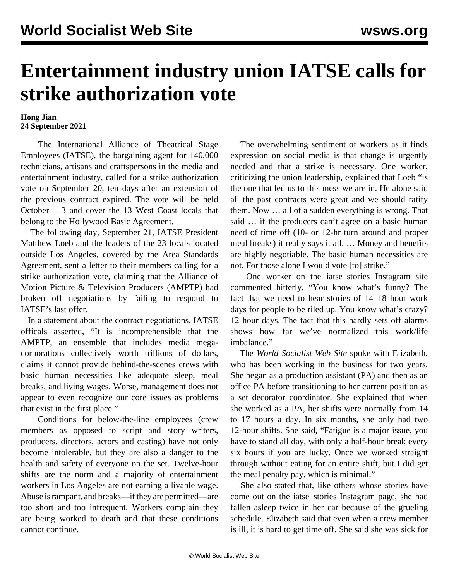## **Entertainment industry union IATSE calls for strike authorization vote**

## **Hong Jian 24 September 2021**

 The International Alliance of Theatrical Stage Employees (IATSE), the bargaining agent for 140,000 technicians, artisans and craftspersons in the media and entertainment industry, called for a strike authorization vote on September 20, ten days after an extension of the previous contract expired. The vote will be held October 1–3 and cover the 13 West Coast locals that belong to the Hollywood Basic Agreement.

 The following day, September 21, IATSE President Matthew Loeb and the leaders of the 23 locals located outside Los Angeles, covered by the Area Standards Agreement, sent a letter to their members calling for a strike authorization vote, claiming that the Alliance of Motion Picture & Television Producers (AMPTP) had broken off negotiations by failing to respond to IATSE's last offer.

 In a statement about the contract negotiations, IATSE officals asserted, "It is incomprehensible that the AMPTP, an ensemble that includes media megacorporations collectively worth trillions of dollars, claims it cannot provide behind-the-scenes crews with basic human necessities like adequate sleep, meal breaks, and living wages. Worse, management does not appear to even recognize our core issues as problems that exist in the first place."

 Conditions for below-the-line employees (crew members as opposed to script and story writers, producers, directors, actors and casting) have not only become intolerable, but they are also a danger to the health and safety of everyone on the set. Twelve-hour shifts are the norm and a majority of entertainment workers in Los Angeles are not earning a livable wage. Abuse is rampant, and breaks—if they are permitted—are too short and too infrequent. Workers complain they are being worked to death and that these conditions cannot continue.

 The overwhelming sentiment of workers as it finds expression on social media is that change is urgently needed and that a strike is necessary. One worker, criticizing the union leadership, explained that Loeb "is the one that led us to this mess we are in. He alone said all the past contracts were great and we should ratify them. Now … all of a sudden everything is wrong. That said … if the producers can't agree on a basic human need of time off (10- or 12-hr turn around and proper meal breaks) it really says it all. … Money and benefits are highly negotiable. The basic human necessities are not. For those alone I would vote [to] strike."

 One worker on the [iatse\\_stories](https://www.instagram.com/ia_stories/?utm_source=ig_embed&ig_rid=bb49cb4b-33d0-44b4-8a68-216445e38bf7) Instagram site commented bitterly, "You know what's funny? The fact that we need to hear stories of 14–18 hour work days for people to be riled up. You know what's crazy? 12 hour days. The fact that this hardly sets off alarms shows how far we've normalized this work/life imbalance."

 The *World Socialist Web Site* spoke with Elizabeth, who has been working in the business for two years. She began as a production assistant (PA) and then as an office PA before transitioning to her current position as a set decorator coordinator. She explained that when she worked as a PA, her shifts were normally from 14 to 17 hours a day. In six months, she only had two 12-hour shifts. She said, "Fatigue is a major issue, you have to stand all day, with only a half-hour break every six hours if you are lucky. Once we worked straight through without eating for an entire shift, but I did get the meal penalty pay, which is minimal."

 She also stated that, like others whose stories have come out on the iatse\_stories Instagram page, she had fallen asleep twice in her car because of the grueling schedule. Elizabeth said that even when a crew member is ill, it is hard to get time off. She said she was sick for